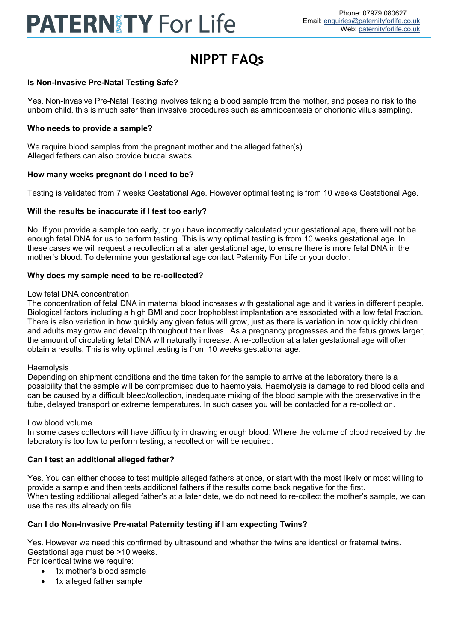# **PATERNITY For Life**

# **NIPPT FAQs**

# **Is Non-Invasive Pre-Natal Testing Safe?**

Yes. Non-Invasive Pre-Natal Testing involves taking a blood sample from the mother, and poses no risk to the unborn child, this is much safer than invasive procedures such as amniocentesis or chorionic villus sampling.

### **Who needs to provide a sample?**

We require blood samples from the pregnant mother and the alleged father(s). Alleged fathers can also provide buccal swabs

#### **How many weeks pregnant do I need to be?**

Testing is validated from 7 weeks Gestational Age. However optimal testing is from 10 weeks Gestational Age.

# **Will the results be inaccurate if I test too early?**

No. If you provide a sample too early, or you have incorrectly calculated your gestational age, there will not be enough fetal DNA for us to perform testing. This is why optimal testing is from 10 weeks gestational age. In these cases we will request a recollection at a later gestational age, to ensure there is more fetal DNA in the mother's blood. To determine your gestational age contact Paternity For Life or your doctor.

#### **Why does my sample need to be re-collected?**

#### Low fetal DNA concentration

The concentration of fetal DNA in maternal blood increases with gestational age and it varies in different people. Biological factors including a high BMI and poor trophoblast implantation are associated with a low fetal fraction. There is also variation in how quickly any given fetus will grow, just as there is variation in how quickly children and adults may grow and develop throughout their lives. As a pregnancy progresses and the fetus grows larger, the amount of circulating fetal DNA will naturally increase. A re-collection at a later gestational age will often obtain a results. This is why optimal testing is from 10 weeks gestational age.

#### **Haemolysis**

Depending on shipment conditions and the time taken for the sample to arrive at the laboratory there is a possibility that the sample will be compromised due to haemolysis. Haemolysis is damage to red blood cells and can be caused by a difficult bleed/collection, inadequate mixing of the blood sample with the preservative in the tube, delayed transport or extreme temperatures. In such cases you will be contacted for a re-collection.

#### Low blood volume

In some cases collectors will have difficulty in drawing enough blood. Where the volume of blood received by the laboratory is too low to perform testing, a recollection will be required.

# **Can I test an additional alleged father?**

Yes. You can either choose to test multiple alleged fathers at once, or start with the most likely or most willing to provide a sample and then tests additional fathers if the results come back negative for the first. When testing additional alleged father's at a later date, we do not need to re-collect the mother's sample, we can use the results already on file.

# **Can I do Non-Invasive Pre-natal Paternity testing if I am expecting Twins?**

Yes. However we need this confirmed by ultrasound and whether the twins are identical or fraternal twins. Gestational age must be >10 weeks. For identical twins we require:

- 1x mother's blood sample
- 1x alleged father sample